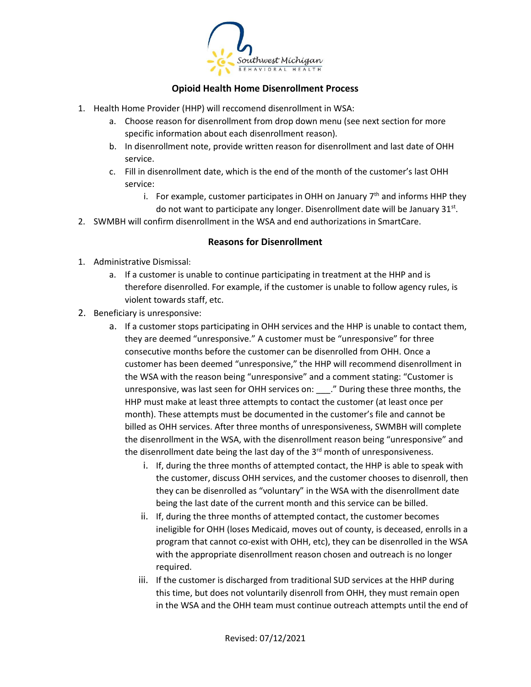

## **Opioid Health Home Disenrollment Process**

- 1. Health Home Provider (HHP) will reccomend disenrollment in WSA:
	- a. Choose reason for disenrollment from drop down menu (see next section for more specific information about each disenrollment reason).
	- b. In disenrollment note, provide written reason for disenrollment and last date of OHH service.
	- c. Fill in disenrollment date, which is the end of the month of the customer's last OHH service:
		- i. For example, customer participates in OHH on January  $7<sup>th</sup>$  and informs HHP they do not want to participate any longer. Disenrollment date will be January 31st.
- 2. SWMBH will confirm disenrollment in the WSA and end authorizations in SmartCare.

## **Reasons for Disenrollment**

- 1. Administrative Dismissal:
	- a. If a customer is unable to continue participating in treatment at the HHP and is therefore disenrolled. For example, if the customer is unable to follow agency rules, is violent towards staff, etc.
- 2. Beneficiary is unresponsive:
	- a. If a customer stops participating in OHH services and the HHP is unable to contact them, they are deemed "unresponsive." A customer must be "unresponsive" for three consecutive months before the customer can be disenrolled from OHH. Once a customer has been deemed "unresponsive," the HHP will recommend disenrollment in the WSA with the reason being "unresponsive" and a comment stating: "Customer is unresponsive, was last seen for OHH services on: \_\_\_." During these three months, the HHP must make at least three attempts to contact the customer (at least once per month). These attempts must be documented in the customer's file and cannot be billed as OHH services. After three months of unresponsiveness, SWMBH will complete the disenrollment in the WSA, with the disenrollment reason being "unresponsive" and the disenrollment date being the last day of the  $3<sup>rd</sup>$  month of unresponsiveness.
		- i. If, during the three months of attempted contact, the HHP is able to speak with the customer, discuss OHH services, and the customer chooses to disenroll, then they can be disenrolled as "voluntary" in the WSA with the disenrollment date being the last date of the current month and this service can be billed.
		- ii. If, during the three months of attempted contact, the customer becomes ineligible for OHH (loses Medicaid, moves out of county, is deceased, enrolls in a program that cannot co-exist with OHH, etc), they can be disenrolled in the WSA with the appropriate disenrollment reason chosen and outreach is no longer required.
		- iii. If the customer is discharged from traditional SUD services at the HHP during this time, but does not voluntarily disenroll from OHH, they must remain open in the WSA and the OHH team must continue outreach attempts until the end of